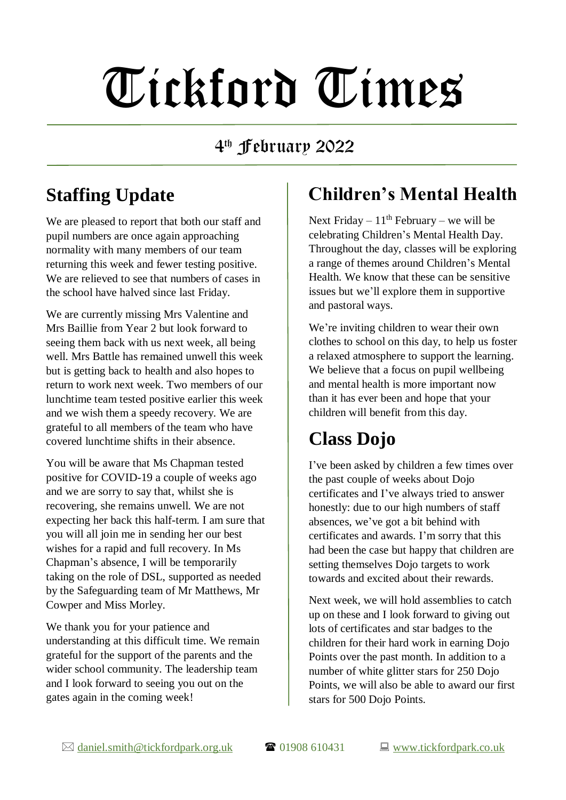# Tickford Times

#### 4 th February 2022

## **Staffing Update**

We are pleased to report that both our staff and pupil numbers are once again approaching normality with many members of our team returning this week and fewer testing positive. We are relieved to see that numbers of cases in the school have halved since last Friday.

We are currently missing Mrs Valentine and Mrs Baillie from Year 2 but look forward to seeing them back with us next week, all being well. Mrs Battle has remained unwell this week but is getting back to health and also hopes to return to work next week. Two members of our lunchtime team tested positive earlier this week and we wish them a speedy recovery. We are grateful to all members of the team who have covered lunchtime shifts in their absence.

You will be aware that Ms Chapman tested positive for COVID-19 a couple of weeks ago and we are sorry to say that, whilst she is recovering, she remains unwell. We are not expecting her back this half-term. I am sure that you will all join me in sending her our best wishes for a rapid and full recovery. In Ms Chapman's absence, I will be temporarily taking on the role of DSL, supported as needed by the Safeguarding team of Mr Matthews, Mr Cowper and Miss Morley.

We thank you for your patience and understanding at this difficult time. We remain grateful for the support of the parents and the wider school community. The leadership team and I look forward to seeing you out on the gates again in the coming week!

### **Children's Mental Health**

Next Friday –  $11<sup>th</sup>$  February – we will be celebrating Children's Mental Health Day. Throughout the day, classes will be exploring a range of themes around Children's Mental Health. We know that these can be sensitive issues but we'll explore them in supportive and pastoral ways.

We're inviting children to wear their own clothes to school on this day, to help us foster a relaxed atmosphere to support the learning. We believe that a focus on pupil wellbeing and mental health is more important now than it has ever been and hope that your children will benefit from this day.

## **Class Dojo**

I've been asked by children a few times over the past couple of weeks about Dojo certificates and I've always tried to answer honestly: due to our high numbers of staff absences, we've got a bit behind with certificates and awards. I'm sorry that this had been the case but happy that children are setting themselves Dojo targets to work towards and excited about their rewards.

Next week, we will hold assemblies to catch up on these and I look forward to giving out lots of certificates and star badges to the children for their hard work in earning Dojo Points over the past month. In addition to a number of white glitter stars for 250 Dojo Points, we will also be able to award our first stars for 500 Dojo Points.